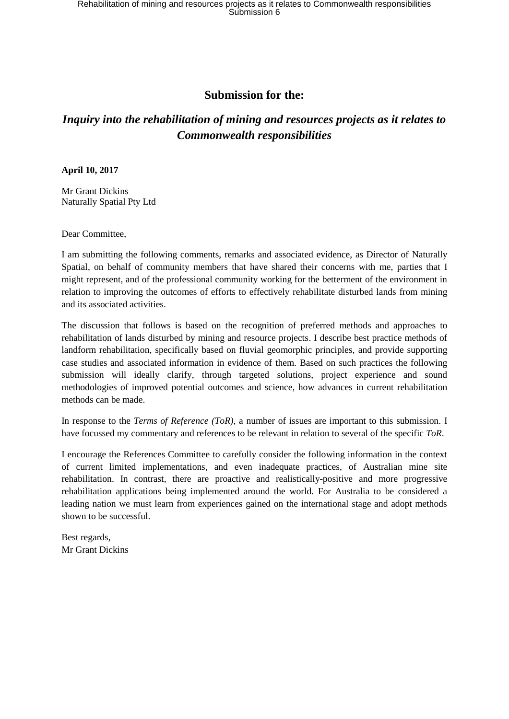# **Submission for the:**

# *Inquiry into the rehabilitation of mining and resources projects as it relates to Commonwealth responsibilities*

### **April 10, 2017**

Mr Grant Dickins Naturally Spatial Pty Ltd

Dear Committee,

I am submitting the following comments, remarks and associated evidence, as Director of Naturally Spatial, on behalf of community members that have shared their concerns with me, parties that I might represent, and of the professional community working for the betterment of the environment in relation to improving the outcomes of efforts to effectively rehabilitate disturbed lands from mining and its associated activities.

The discussion that follows is based on the recognition of preferred methods and approaches to rehabilitation of lands disturbed by mining and resource projects. I describe best practice methods of landform rehabilitation, specifically based on fluvial geomorphic principles, and provide supporting case studies and associated information in evidence of them. Based on such practices the following submission will ideally clarify, through targeted solutions, project experience and sound methodologies of improved potential outcomes and science, how advances in current rehabilitation methods can be made.

In response to the *Terms of Reference (ToR)*, a number of issues are important to this submission. I have focussed my commentary and references to be relevant in relation to several of the specific *ToR*.

I encourage the References Committee to carefully consider the following information in the context of current limited implementations, and even inadequate practices, of Australian mine site rehabilitation. In contrast, there are proactive and realistically-positive and more progressive rehabilitation applications being implemented around the world. For Australia to be considered a leading nation we must learn from experiences gained on the international stage and adopt methods shown to be successful.

Best regards, Mr Grant Dickins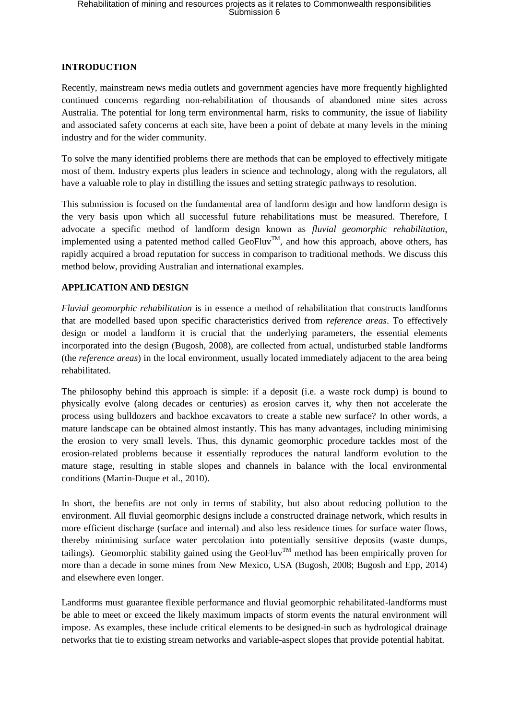### **INTRODUCTION**

Recently, mainstream news media outlets and government agencies have more frequently highlighted continued concerns regarding non-rehabilitation of thousands of abandoned mine sites across Australia. The potential for long term environmental harm, risks to community, the issue of liability and associated safety concerns at each site, have been a point of debate at many levels in the mining industry and for the wider community.

To solve the many identified problems there are methods that can be employed to effectively mitigate most of them. Industry experts plus leaders in science and technology, along with the regulators, all have a valuable role to play in distilling the issues and setting strategic pathways to resolution.

This submission is focused on the fundamental area of landform design and how landform design is the very basis upon which all successful future rehabilitations must be measured. Therefore, I advocate a specific method of landform design known as *fluvial geomorphic rehabilitation*, implemented using a patented method called GeoFluv<sup>TM</sup>, and how this approach, above others, has rapidly acquired a broad reputation for success in comparison to traditional methods. We discuss this method below, providing Australian and international examples.

## **APPLICATION AND DESIGN**

*Fluvial geomorphic rehabilitation* is in essence a method of rehabilitation that constructs landforms that are modelled based upon specific characteristics derived from *reference areas*. To effectively design or model a landform it is crucial that the underlying parameters, the essential elements incorporated into the design (Bugosh, 2008), are collected from actual, undisturbed stable landforms (the *reference areas*) in the local environment, usually located immediately adjacent to the area being rehabilitated.

The philosophy behind this approach is simple: if a deposit (i.e. a waste rock dump) is bound to physically evolve (along decades or centuries) as erosion carves it, why then not accelerate the process using bulldozers and backhoe excavators to create a stable new surface? In other words, a mature landscape can be obtained almost instantly. This has many advantages, including minimising the erosion to very small levels. Thus, this dynamic geomorphic procedure tackles most of the erosion-related problems because it essentially reproduces the natural landform evolution to the mature stage, resulting in stable slopes and channels in balance with the local environmental conditions (Martin-Duque et al., 2010).

In short, the benefits are not only in terms of stability, but also about reducing pollution to the environment. All fluvial geomorphic designs include a constructed drainage network, which results in more efficient discharge (surface and internal) and also less residence times for surface water flows, thereby minimising surface water percolation into potentially sensitive deposits (waste dumps, tailings). Geomorphic stability gained using the GeoFluv<sup>TM</sup> method has been empirically proven for more than a decade in some mines from New Mexico, USA (Bugosh, 2008; Bugosh and Epp, 2014) and elsewhere even longer.

Landforms must guarantee flexible performance and fluvial geomorphic rehabilitated-landforms must be able to meet or exceed the likely maximum impacts of storm events the natural environment will impose. As examples, these include critical elements to be designed-in such as hydrological drainage networks that tie to existing stream networks and variable-aspect slopes that provide potential habitat.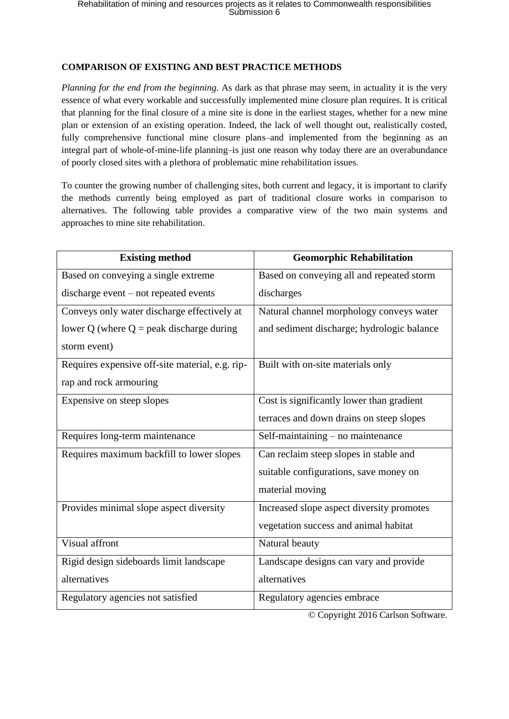## **COMPARISON OF EXISTING AND BEST PRACTICE METHODS**

*Planning for the end from the beginning*. As dark as that phrase may seem, in actuality it is the very essence of what every workable and successfully implemented mine closure plan requires. It is critical that planning for the final closure of a mine site is done in the earliest stages, whether for a new mine plan or extension of an existing operation. Indeed, the lack of well thought out, realistically costed, fully comprehensive functional mine closure plans–and implemented from the beginning as an integral part of whole-of-mine-life planning–is just one reason why today there are an overabundance of poorly closed sites with a plethora of problematic mine rehabilitation issues.

To counter the growing number of challenging sites, both current and legacy, it is important to clarify the methods currently being employed as part of traditional closure works in comparison to alternatives. The following table provides a comparative view of the two main systems and approaches to mine site rehabilitation.

| <b>Existing method</b>                          | <b>Geomorphic Rehabilitation</b>           |
|-------------------------------------------------|--------------------------------------------|
| Based on conveying a single extreme             | Based on conveying all and repeated storm  |
| discharge event – not repeated events           | discharges                                 |
| Conveys only water discharge effectively at     | Natural channel morphology conveys water   |
| lower Q (where $Q =$ peak discharge during      | and sediment discharge; hydrologic balance |
| storm event)                                    |                                            |
| Requires expensive off-site material, e.g. rip- | Built with on-site materials only          |
| rap and rock armouring                          |                                            |
| Expensive on steep slopes                       | Cost is significantly lower than gradient  |
|                                                 | terraces and down drains on steep slopes   |
| Requires long-term maintenance                  | Self-maintaining - no maintenance          |
| Requires maximum backfill to lower slopes       | Can reclaim steep slopes in stable and     |
|                                                 | suitable configurations, save money on     |
|                                                 | material moving                            |
| Provides minimal slope aspect diversity         | Increased slope aspect diversity promotes  |
|                                                 | vegetation success and animal habitat      |
| Visual affront                                  | Natural beauty                             |
| Rigid design sideboards limit landscape         | Landscape designs can vary and provide     |
| alternatives                                    | alternatives                               |
| Regulatory agencies not satisfied               | Regulatory agencies embrace                |

© Copyright 2016 Carlson Software.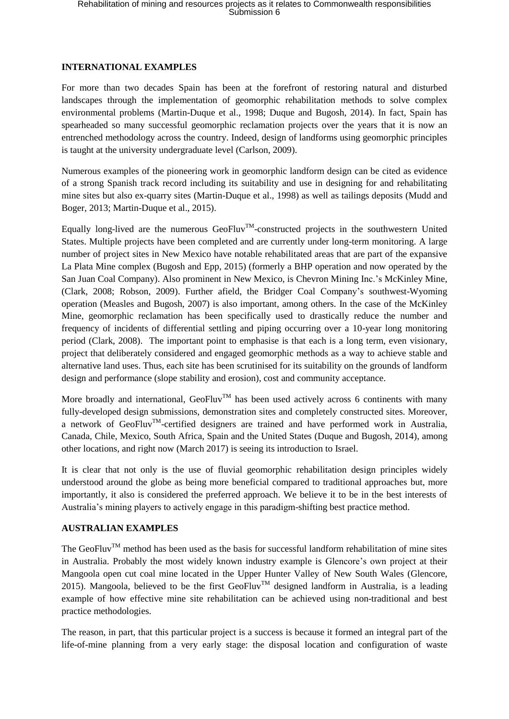### **INTERNATIONAL EXAMPLES**

For more than two decades Spain has been at the forefront of restoring natural and disturbed landscapes through the implementation of geomorphic rehabilitation methods to solve complex environmental problems (Martin-Duque et al., 1998; Duque and Bugosh, 2014). In fact, Spain has spearheaded so many successful geomorphic reclamation projects over the years that it is now an entrenched methodology across the country. Indeed, design of landforms using geomorphic principles is taught at the university undergraduate level (Carlson, 2009).

Numerous examples of the pioneering work in geomorphic landform design can be cited as evidence of a strong Spanish track record including its suitability and use in designing for and rehabilitating mine sites but also ex-quarry sites (Martin-Duque et al., 1998) as well as tailings deposits (Mudd and Boger, 2013; Martin-Duque et al., 2015).

Equally long-lived are the numerous  $\text{GeoFluv}^{TM}$ -constructed projects in the southwestern United States. Multiple projects have been completed and are currently under long-term monitoring. A large number of project sites in New Mexico have notable rehabilitated areas that are part of the expansive La Plata Mine complex (Bugosh and Epp, 2015) (formerly a BHP operation and now operated by the San Juan Coal Company). Also prominent in New Mexico, is Chevron Mining Inc.'s McKinley Mine, (Clark, 2008; Robson, 2009). Further afield, the Bridger Coal Company's southwest-Wyoming operation (Measles and Bugosh, 2007) is also important, among others. In the case of the McKinley Mine, geomorphic reclamation has been specifically used to drastically reduce the number and frequency of incidents of differential settling and piping occurring over a 10-year long monitoring period (Clark, 2008). The important point to emphasise is that each is a long term, even visionary, project that deliberately considered and engaged geomorphic methods as a way to achieve stable and alternative land uses. Thus, each site has been scrutinised for its suitability on the grounds of landform design and performance (slope stability and erosion), cost and community acceptance.

More broadly and international, GeoFluv<sup>TM</sup> has been used actively across 6 continents with many fully-developed design submissions, demonstration sites and completely constructed sites. Moreover, a network of GeoFluv<sup>TM</sup>-certified designers are trained and have performed work in Australia, Canada, Chile, Mexico, South Africa, Spain and the United States (Duque and Bugosh, 2014), among other locations, and right now (March 2017) is seeing its introduction to Israel.

It is clear that not only is the use of fluvial geomorphic rehabilitation design principles widely understood around the globe as being more beneficial compared to traditional approaches but, more importantly, it also is considered the preferred approach. We believe it to be in the best interests of Australia's mining players to actively engage in this paradigm-shifting best practice method.

## **AUSTRALIAN EXAMPLES**

The GeoFluv<sup>TM</sup> method has been used as the basis for successful landform rehabilitation of mine sites in Australia. Probably the most widely known industry example is Glencore's own project at their Mangoola open cut coal mine located in the Upper Hunter Valley of New South Wales (Glencore, 2015). Mangoola, believed to be the first GeoFluv<sup>TM</sup> designed landform in Australia, is a leading example of how effective mine site rehabilitation can be achieved using non-traditional and best practice methodologies.

The reason, in part, that this particular project is a success is because it formed an integral part of the life-of-mine planning from a very early stage: the disposal location and configuration of waste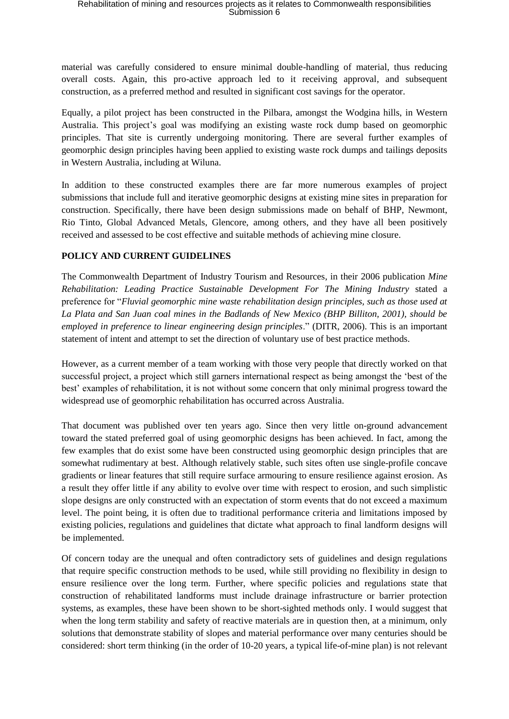material was carefully considered to ensure minimal double-handling of material, thus reducing overall costs. Again, this pro-active approach led to it receiving approval, and subsequent construction, as a preferred method and resulted in significant cost savings for the operator.

Equally, a pilot project has been constructed in the Pilbara, amongst the Wodgina hills, in Western Australia. This project's goal was modifying an existing waste rock dump based on geomorphic principles. That site is currently undergoing monitoring. There are several further examples of geomorphic design principles having been applied to existing waste rock dumps and tailings deposits in Western Australia, including at Wiluna.

In addition to these constructed examples there are far more numerous examples of project submissions that include full and iterative geomorphic designs at existing mine sites in preparation for construction. Specifically, there have been design submissions made on behalf of BHP, Newmont, Rio Tinto, Global Advanced Metals, Glencore, among others, and they have all been positively received and assessed to be cost effective and suitable methods of achieving mine closure.

## **POLICY AND CURRENT GUIDELINES**

The Commonwealth Department of Industry Tourism and Resources, in their 2006 publication *Mine Rehabilitation: Leading Practice Sustainable Development For The Mining Industry* stated a preference for "*Fluvial geomorphic mine waste rehabilitation design principles, such as those used at La Plata and San Juan coal mines in the Badlands of New Mexico (BHP Billiton, 2001), should be employed in preference to linear engineering design principles*." (DITR, 2006). This is an important statement of intent and attempt to set the direction of voluntary use of best practice methods.

However, as a current member of a team working with those very people that directly worked on that successful project, a project which still garners international respect as being amongst the 'best of the best' examples of rehabilitation, it is not without some concern that only minimal progress toward the widespread use of geomorphic rehabilitation has occurred across Australia.

That document was published over ten years ago. Since then very little on-ground advancement toward the stated preferred goal of using geomorphic designs has been achieved. In fact, among the few examples that do exist some have been constructed using geomorphic design principles that are somewhat rudimentary at best. Although relatively stable, such sites often use single-profile concave gradients or linear features that still require surface armouring to ensure resilience against erosion. As a result they offer little if any ability to evolve over time with respect to erosion, and such simplistic slope designs are only constructed with an expectation of storm events that do not exceed a maximum level. The point being, it is often due to traditional performance criteria and limitations imposed by existing policies, regulations and guidelines that dictate what approach to final landform designs will be implemented.

Of concern today are the unequal and often contradictory sets of guidelines and design regulations that require specific construction methods to be used, while still providing no flexibility in design to ensure resilience over the long term. Further, where specific policies and regulations state that construction of rehabilitated landforms must include drainage infrastructure or barrier protection systems, as examples, these have been shown to be short-sighted methods only. I would suggest that when the long term stability and safety of reactive materials are in question then, at a minimum, only solutions that demonstrate stability of slopes and material performance over many centuries should be considered: short term thinking (in the order of 10-20 years, a typical life-of-mine plan) is not relevant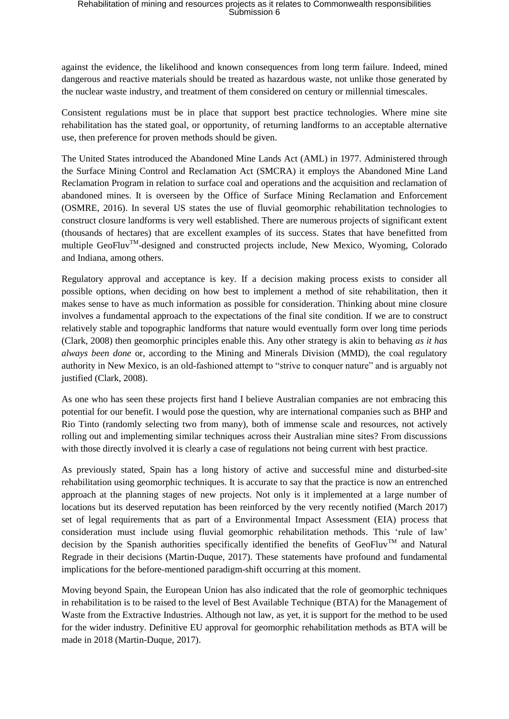against the evidence, the likelihood and known consequences from long term failure. Indeed, mined dangerous and reactive materials should be treated as hazardous waste, not unlike those generated by the nuclear waste industry, and treatment of them considered on century or millennial timescales.

Consistent regulations must be in place that support best practice technologies. Where mine site rehabilitation has the stated goal, or opportunity, of returning landforms to an acceptable alternative use, then preference for proven methods should be given.

The United States introduced the Abandoned Mine Lands Act (AML) in 1977. Administered through the Surface Mining Control and Reclamation Act (SMCRA) it employs the Abandoned Mine Land Reclamation Program in relation to surface coal and operations and the acquisition and reclamation of abandoned mines. It is overseen by the Office of Surface Mining Reclamation and Enforcement (OSMRE, 2016). In several US states the use of fluvial geomorphic rehabilitation technologies to construct closure landforms is very well established. There are numerous projects of significant extent (thousands of hectares) that are excellent examples of its success. States that have benefitted from multiple GeoFluv<sup>TM</sup>-designed and constructed projects include, New Mexico, Wyoming, Colorado and Indiana, among others.

Regulatory approval and acceptance is key. If a decision making process exists to consider all possible options, when deciding on how best to implement a method of site rehabilitation, then it makes sense to have as much information as possible for consideration. Thinking about mine closure involves a fundamental approach to the expectations of the final site condition. If we are to construct relatively stable and topographic landforms that nature would eventually form over long time periods (Clark, 2008) then geomorphic principles enable this. Any other strategy is akin to behaving *as it has always been done* or, according to the Mining and Minerals Division (MMD), the coal regulatory authority in New Mexico, is an old-fashioned attempt to "strive to conquer nature" and is arguably not justified (Clark, 2008).

As one who has seen these projects first hand I believe Australian companies are not embracing this potential for our benefit. I would pose the question, why are international companies such as BHP and Rio Tinto (randomly selecting two from many), both of immense scale and resources, not actively rolling out and implementing similar techniques across their Australian mine sites? From discussions with those directly involved it is clearly a case of regulations not being current with best practice.

As previously stated, Spain has a long history of active and successful mine and disturbed-site rehabilitation using geomorphic techniques. It is accurate to say that the practice is now an entrenched approach at the planning stages of new projects. Not only is it implemented at a large number of locations but its deserved reputation has been reinforced by the very recently notified (March 2017) set of legal requirements that as part of a Environmental Impact Assessment (EIA) process that consideration must include using fluvial geomorphic rehabilitation methods. This 'rule of law' decision by the Spanish authorities specifically identified the benefits of GeoFluv<sup>TM</sup> and Natural Regrade in their decisions (Martin-Duque, 2017). These statements have profound and fundamental implications for the before-mentioned paradigm-shift occurring at this moment.

Moving beyond Spain, the European Union has also indicated that the role of geomorphic techniques in rehabilitation is to be raised to the level of Best Available Technique (BTA) for the Management of Waste from the Extractive Industries. Although not law, as yet, it is support for the method to be used for the wider industry. Definitive EU approval for geomorphic rehabilitation methods as BTA will be made in 2018 (Martin-Duque, 2017).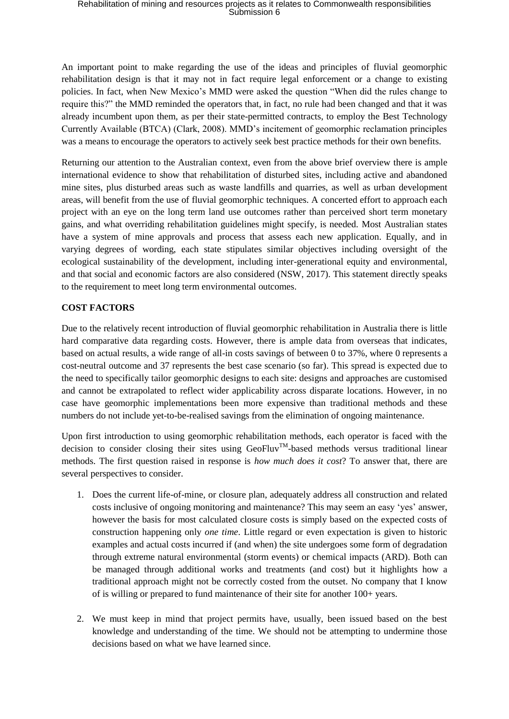An important point to make regarding the use of the ideas and principles of fluvial geomorphic rehabilitation design is that it may not in fact require legal enforcement or a change to existing policies. In fact, when New Mexico's MMD were asked the question "When did the rules change to require this?" the MMD reminded the operators that, in fact, no rule had been changed and that it was already incumbent upon them, as per their state-permitted contracts, to employ the Best Technology Currently Available (BTCA) (Clark, 2008). MMD's incitement of geomorphic reclamation principles was a means to encourage the operators to actively seek best practice methods for their own benefits.

Returning our attention to the Australian context, even from the above brief overview there is ample international evidence to show that rehabilitation of disturbed sites, including active and abandoned mine sites, plus disturbed areas such as waste landfills and quarries, as well as urban development areas, will benefit from the use of fluvial geomorphic techniques. A concerted effort to approach each project with an eye on the long term land use outcomes rather than perceived short term monetary gains, and what overriding rehabilitation guidelines might specify, is needed. Most Australian states have a system of mine approvals and process that assess each new application. Equally, and in varying degrees of wording, each state stipulates similar objectives including oversight of the ecological sustainability of the development, including inter-generational equity and environmental, and that social and economic factors are also considered (NSW, 2017). This statement directly speaks to the requirement to meet long term environmental outcomes.

## **COST FACTORS**

Due to the relatively recent introduction of fluvial geomorphic rehabilitation in Australia there is little hard comparative data regarding costs. However, there is ample data from overseas that indicates, based on actual results, a wide range of all-in costs savings of between 0 to 37%, where 0 represents a cost-neutral outcome and 37 represents the best case scenario (so far). This spread is expected due to the need to specifically tailor geomorphic designs to each site: designs and approaches are customised and cannot be extrapolated to reflect wider applicability across disparate locations. However, in no case have geomorphic implementations been more expensive than traditional methods and these numbers do not include yet-to-be-realised savings from the elimination of ongoing maintenance.

Upon first introduction to using geomorphic rehabilitation methods, each operator is faced with the decision to consider closing their sites using GeoFluv<sup>TM</sup>-based methods versus traditional linear methods. The first question raised in response is *how much does it cost*? To answer that, there are several perspectives to consider.

- 1. Does the current life-of-mine, or closure plan, adequately address all construction and related costs inclusive of ongoing monitoring and maintenance? This may seem an easy 'yes' answer, however the basis for most calculated closure costs is simply based on the expected costs of construction happening only *one time*. Little regard or even expectation is given to historic examples and actual costs incurred if (and when) the site undergoes some form of degradation through extreme natural environmental (storm events) or chemical impacts (ARD). Both can be managed through additional works and treatments (and cost) but it highlights how a traditional approach might not be correctly costed from the outset. No company that I know of is willing or prepared to fund maintenance of their site for another 100+ years.
- 2. We must keep in mind that project permits have, usually, been issued based on the best knowledge and understanding of the time. We should not be attempting to undermine those decisions based on what we have learned since.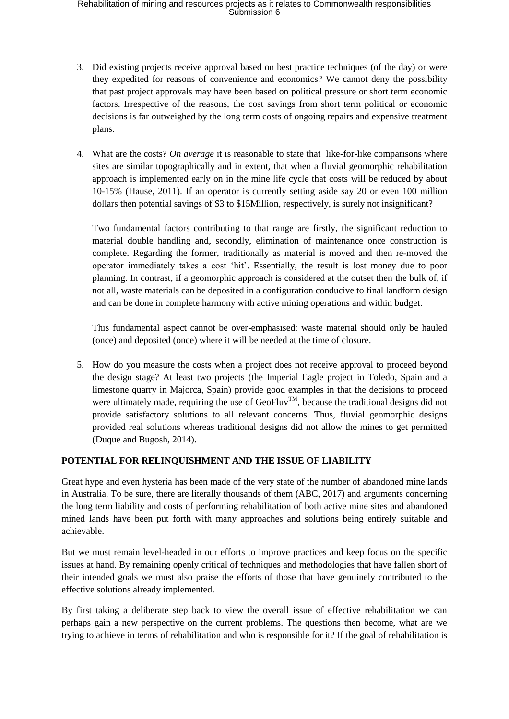- 3. Did existing projects receive approval based on best practice techniques (of the day) or were they expedited for reasons of convenience and economics? We cannot deny the possibility that past project approvals may have been based on political pressure or short term economic factors. Irrespective of the reasons, the cost savings from short term political or economic decisions is far outweighed by the long term costs of ongoing repairs and expensive treatment plans.
- 4. What are the costs? *On average* it is reasonable to state that like-for-like comparisons where sites are similar topographically and in extent, that when a fluvial geomorphic rehabilitation approach is implemented early on in the mine life cycle that costs will be reduced by about 10-15% (Hause, 2011). If an operator is currently setting aside say 20 or even 100 million dollars then potential savings of \$3 to \$15Million, respectively, is surely not insignificant?

Two fundamental factors contributing to that range are firstly, the significant reduction to material double handling and, secondly, elimination of maintenance once construction is complete. Regarding the former, traditionally as material is moved and then re-moved the operator immediately takes a cost 'hit'. Essentially, the result is lost money due to poor planning. In contrast, if a geomorphic approach is considered at the outset then the bulk of, if not all, waste materials can be deposited in a configuration conducive to final landform design and can be done in complete harmony with active mining operations and within budget.

This fundamental aspect cannot be over-emphasised: waste material should only be hauled (once) and deposited (once) where it will be needed at the time of closure.

5. How do you measure the costs when a project does not receive approval to proceed beyond the design stage? At least two projects (the Imperial Eagle project in Toledo, Spain and a limestone quarry in Majorca, Spain) provide good examples in that the decisions to proceed were ultimately made, requiring the use of GeoFluv<sup>TM</sup>, because the traditional designs did not provide satisfactory solutions to all relevant concerns. Thus, fluvial geomorphic designs provided real solutions whereas traditional designs did not allow the mines to get permitted (Duque and Bugosh, 2014).

### **POTENTIAL FOR RELINQUISHMENT AND THE ISSUE OF LIABILITY**

Great hype and even hysteria has been made of the very state of the number of abandoned mine lands in Australia. To be sure, there are literally thousands of them (ABC, 2017) and arguments concerning the long term liability and costs of performing rehabilitation of both active mine sites and abandoned mined lands have been put forth with many approaches and solutions being entirely suitable and achievable.

But we must remain level-headed in our efforts to improve practices and keep focus on the specific issues at hand. By remaining openly critical of techniques and methodologies that have fallen short of their intended goals we must also praise the efforts of those that have genuinely contributed to the effective solutions already implemented.

By first taking a deliberate step back to view the overall issue of effective rehabilitation we can perhaps gain a new perspective on the current problems. The questions then become, what are we trying to achieve in terms of rehabilitation and who is responsible for it? If the goal of rehabilitation is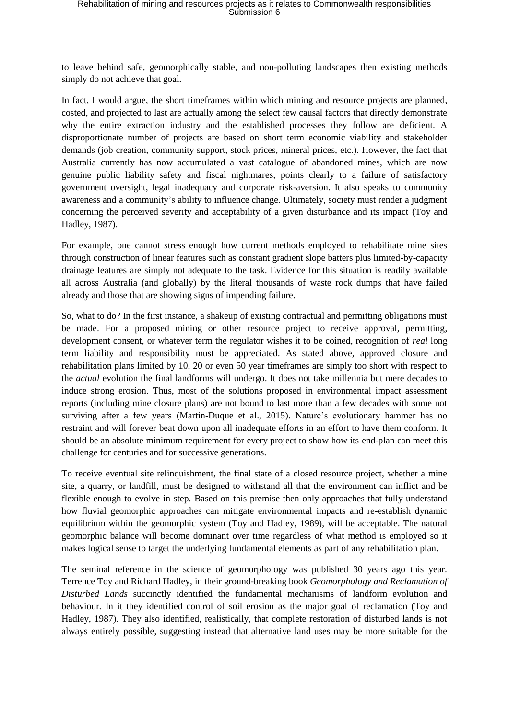to leave behind safe, geomorphically stable, and non-polluting landscapes then existing methods simply do not achieve that goal.

In fact, I would argue, the short timeframes within which mining and resource projects are planned, costed, and projected to last are actually among the select few causal factors that directly demonstrate why the entire extraction industry and the established processes they follow are deficient. A disproportionate number of projects are based on short term economic viability and stakeholder demands (job creation, community support, stock prices, mineral prices, etc.). However, the fact that Australia currently has now accumulated a vast catalogue of abandoned mines, which are now genuine public liability safety and fiscal nightmares, points clearly to a failure of satisfactory government oversight, legal inadequacy and corporate risk-aversion. It also speaks to community awareness and a community's ability to influence change. Ultimately, society must render a judgment concerning the perceived severity and acceptability of a given disturbance and its impact (Toy and Hadley, 1987).

For example, one cannot stress enough how current methods employed to rehabilitate mine sites through construction of linear features such as constant gradient slope batters plus limited-by-capacity drainage features are simply not adequate to the task. Evidence for this situation is readily available all across Australia (and globally) by the literal thousands of waste rock dumps that have failed already and those that are showing signs of impending failure.

So, what to do? In the first instance, a shakeup of existing contractual and permitting obligations must be made. For a proposed mining or other resource project to receive approval, permitting, development consent, or whatever term the regulator wishes it to be coined, recognition of *real* long term liability and responsibility must be appreciated. As stated above, approved closure and rehabilitation plans limited by 10, 20 or even 50 year timeframes are simply too short with respect to the *actual* evolution the final landforms will undergo. It does not take millennia but mere decades to induce strong erosion. Thus, most of the solutions proposed in environmental impact assessment reports (including mine closure plans) are not bound to last more than a few decades with some not surviving after a few years (Martin-Duque et al., 2015). Nature's evolutionary hammer has no restraint and will forever beat down upon all inadequate efforts in an effort to have them conform. It should be an absolute minimum requirement for every project to show how its end-plan can meet this challenge for centuries and for successive generations.

To receive eventual site relinquishment, the final state of a closed resource project, whether a mine site, a quarry, or landfill, must be designed to withstand all that the environment can inflict and be flexible enough to evolve in step. Based on this premise then only approaches that fully understand how fluvial geomorphic approaches can mitigate environmental impacts and re-establish dynamic equilibrium within the geomorphic system (Toy and Hadley, 1989), will be acceptable. The natural geomorphic balance will become dominant over time regardless of what method is employed so it makes logical sense to target the underlying fundamental elements as part of any rehabilitation plan.

The seminal reference in the science of geomorphology was published 30 years ago this year. Terrence Toy and Richard Hadley, in their ground-breaking book *Geomorphology and Reclamation of Disturbed Lands* succinctly identified the fundamental mechanisms of landform evolution and behaviour. In it they identified control of soil erosion as the major goal of reclamation (Toy and Hadley, 1987). They also identified, realistically, that complete restoration of disturbed lands is not always entirely possible, suggesting instead that alternative land uses may be more suitable for the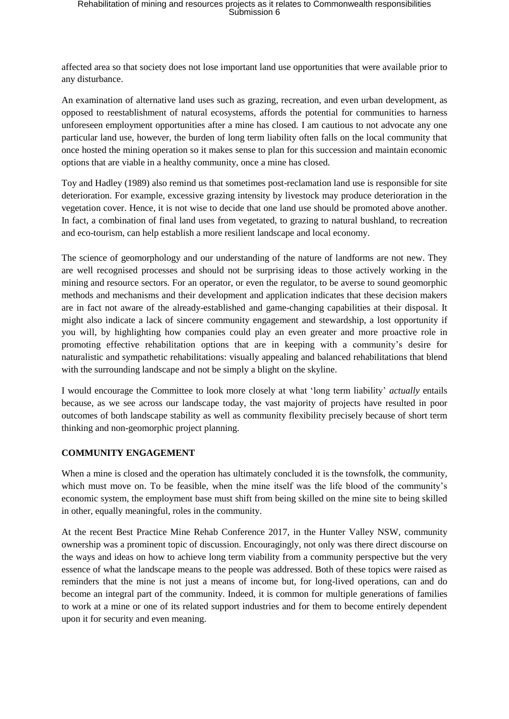affected area so that society does not lose important land use opportunities that were available prior to any disturbance.

An examination of alternative land uses such as grazing, recreation, and even urban development, as opposed to reestablishment of natural ecosystems, affords the potential for communities to harness unforeseen employment opportunities after a mine has closed. I am cautious to not advocate any one particular land use, however, the burden of long term liability often falls on the local community that once hosted the mining operation so it makes sense to plan for this succession and maintain economic options that are viable in a healthy community, once a mine has closed.

Toy and Hadley (1989) also remind us that sometimes post-reclamation land use is responsible for site deterioration. For example, excessive grazing intensity by livestock may produce deterioration in the vegetation cover. Hence, it is not wise to decide that one land use should be promoted above another. In fact, a combination of final land uses from vegetated, to grazing to natural bushland, to recreation and eco-tourism, can help establish a more resilient landscape and local economy.

The science of geomorphology and our understanding of the nature of landforms are not new. They are well recognised processes and should not be surprising ideas to those actively working in the mining and resource sectors. For an operator, or even the regulator, to be averse to sound geomorphic methods and mechanisms and their development and application indicates that these decision makers are in fact not aware of the already-established and game-changing capabilities at their disposal. It might also indicate a lack of sincere community engagement and stewardship, a lost opportunity if you will, by highlighting how companies could play an even greater and more proactive role in promoting effective rehabilitation options that are in keeping with a community's desire for naturalistic and sympathetic rehabilitations: visually appealing and balanced rehabilitations that blend with the surrounding landscape and not be simply a blight on the skyline.

I would encourage the Committee to look more closely at what 'long term liability' *actually* entails because, as we see across our landscape today, the vast majority of projects have resulted in poor outcomes of both landscape stability as well as community flexibility precisely because of short term thinking and non-geomorphic project planning.

### **COMMUNITY ENGAGEMENT**

When a mine is closed and the operation has ultimately concluded it is the townsfolk, the community, which must move on. To be feasible, when the mine itself was the life blood of the community's economic system, the employment base must shift from being skilled on the mine site to being skilled in other, equally meaningful, roles in the community.

At the recent Best Practice Mine Rehab Conference 2017, in the Hunter Valley NSW, community ownership was a prominent topic of discussion. Encouragingly, not only was there direct discourse on the ways and ideas on how to achieve long term viability from a community perspective but the very essence of what the landscape means to the people was addressed. Both of these topics were raised as reminders that the mine is not just a means of income but, for long-lived operations, can and do become an integral part of the community. Indeed, it is common for multiple generations of families to work at a mine or one of its related support industries and for them to become entirely dependent upon it for security and even meaning.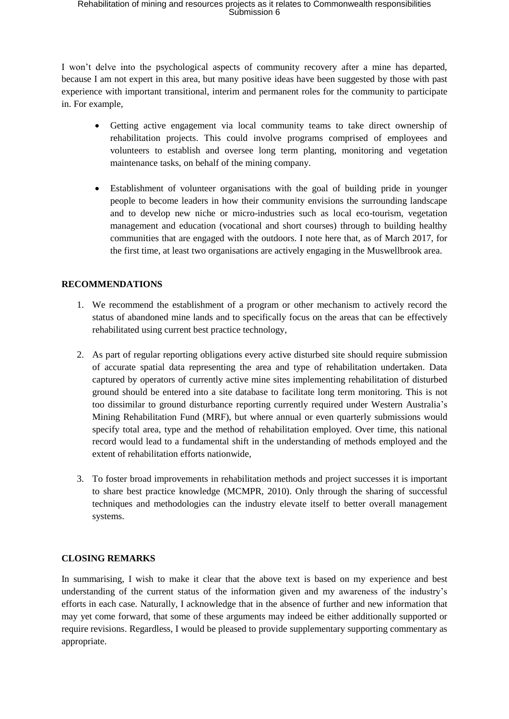I won't delve into the psychological aspects of community recovery after a mine has departed, because I am not expert in this area, but many positive ideas have been suggested by those with past experience with important transitional, interim and permanent roles for the community to participate in. For example,

- Getting active engagement via local community teams to take direct ownership of rehabilitation projects. This could involve programs comprised of employees and volunteers to establish and oversee long term planting, monitoring and vegetation maintenance tasks, on behalf of the mining company.
- Establishment of volunteer organisations with the goal of building pride in younger people to become leaders in how their community envisions the surrounding landscape and to develop new niche or micro-industries such as local eco-tourism, vegetation management and education (vocational and short courses) through to building healthy communities that are engaged with the outdoors. I note here that, as of March 2017, for the first time, at least two organisations are actively engaging in the Muswellbrook area.

### **RECOMMENDATIONS**

- 1. We recommend the establishment of a program or other mechanism to actively record the status of abandoned mine lands and to specifically focus on the areas that can be effectively rehabilitated using current best practice technology,
- 2. As part of regular reporting obligations every active disturbed site should require submission of accurate spatial data representing the area and type of rehabilitation undertaken. Data captured by operators of currently active mine sites implementing rehabilitation of disturbed ground should be entered into a site database to facilitate long term monitoring. This is not too dissimilar to ground disturbance reporting currently required under Western Australia's Mining Rehabilitation Fund (MRF), but where annual or even quarterly submissions would specify total area, type and the method of rehabilitation employed. Over time, this national record would lead to a fundamental shift in the understanding of methods employed and the extent of rehabilitation efforts nationwide,
- 3. To foster broad improvements in rehabilitation methods and project successes it is important to share best practice knowledge (MCMPR, 2010). Only through the sharing of successful techniques and methodologies can the industry elevate itself to better overall management systems.

### **CLOSING REMARKS**

In summarising, I wish to make it clear that the above text is based on my experience and best understanding of the current status of the information given and my awareness of the industry's efforts in each case. Naturally, I acknowledge that in the absence of further and new information that may yet come forward, that some of these arguments may indeed be either additionally supported or require revisions. Regardless, I would be pleased to provide supplementary supporting commentary as appropriate.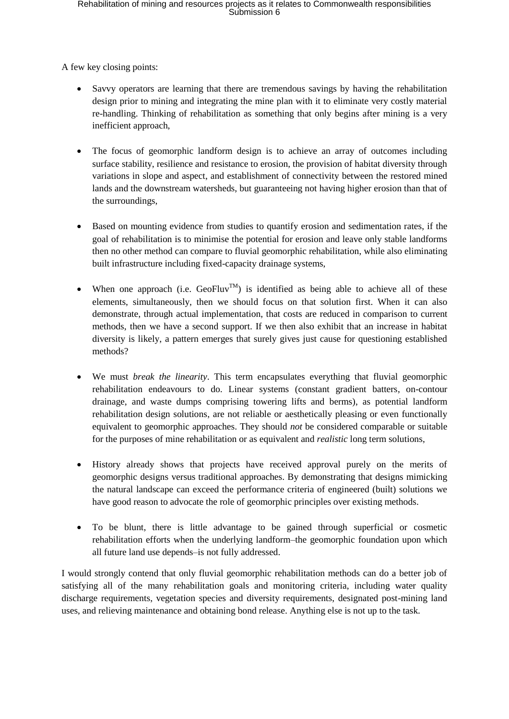A few key closing points:

- Savvy operators are learning that there are tremendous savings by having the rehabilitation design prior to mining and integrating the mine plan with it to eliminate very costly material re-handling. Thinking of rehabilitation as something that only begins after mining is a very inefficient approach,
- The focus of geomorphic landform design is to achieve an array of outcomes including surface stability, resilience and resistance to erosion, the provision of habitat diversity through variations in slope and aspect, and establishment of connectivity between the restored mined lands and the downstream watersheds, but guaranteeing not having higher erosion than that of the surroundings,
- Based on mounting evidence from studies to quantify erosion and sedimentation rates, if the goal of rehabilitation is to minimise the potential for erosion and leave only stable landforms then no other method can compare to fluvial geomorphic rehabilitation, while also eliminating built infrastructure including fixed-capacity drainage systems,
- When one approach (i.e.  $Geofluv^{TM}$ ) is identified as being able to achieve all of these elements, simultaneously, then we should focus on that solution first. When it can also demonstrate, through actual implementation, that costs are reduced in comparison to current methods, then we have a second support. If we then also exhibit that an increase in habitat diversity is likely, a pattern emerges that surely gives just cause for questioning established methods?
- We must *break the linearity*. This term encapsulates everything that fluvial geomorphic rehabilitation endeavours to do. Linear systems (constant gradient batters, on-contour drainage, and waste dumps comprising towering lifts and berms), as potential landform rehabilitation design solutions, are not reliable or aesthetically pleasing or even functionally equivalent to geomorphic approaches. They should *not* be considered comparable or suitable for the purposes of mine rehabilitation or as equivalent and *realistic* long term solutions,
- History already shows that projects have received approval purely on the merits of geomorphic designs versus traditional approaches. By demonstrating that designs mimicking the natural landscape can exceed the performance criteria of engineered (built) solutions we have good reason to advocate the role of geomorphic principles over existing methods.
- To be blunt, there is little advantage to be gained through superficial or cosmetic rehabilitation efforts when the underlying landform–the geomorphic foundation upon which all future land use depends–is not fully addressed.

I would strongly contend that only fluvial geomorphic rehabilitation methods can do a better job of satisfying all of the many rehabilitation goals and monitoring criteria, including water quality discharge requirements, vegetation species and diversity requirements, designated post-mining land uses, and relieving maintenance and obtaining bond release. Anything else is not up to the task.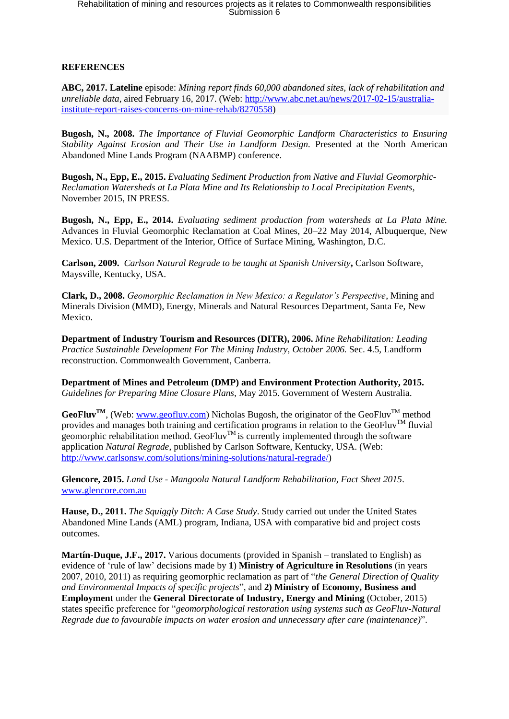# **REFERENCES**

**ABC, 2017. Lateline** episode: *Mining report finds 60,000 abandoned sites, lack of rehabilitation and unreliable data*, aired February 16, 2017. (Web: http://www.abc.net.au/news/2017-02-15/australiainstitute-report-raises-concerns-on-mine-rehab/8270558)

**Bugosh, N., 2008.** *The Importance of Fluvial Geomorphic Landform Characteristics to Ensuring Stability Against Erosion and Their Use in Landform Design.* Presented at the North American Abandoned Mine Lands Program (NAABMP) conference.

**Bugosh, N., Epp, E., 2015.** *Evaluating Sediment Production from Native and Fluvial Geomorphic-Reclamation Watersheds at La Plata Mine and Its Relationship to Local Precipitation Events*, November 2015, IN PRESS.

**Bugosh, N., Epp, E., 2014.** *Evaluating sediment production from watersheds at La Plata Mine.* Advances in Fluvial Geomorphic Reclamation at Coal Mines, 20–22 May 2014, Albuquerque, New Mexico. U.S. Department of the Interior, Office of Surface Mining, Washington, D.C.

**Carlson, 2009.** *Carlson Natural Regrade to be taught at Spanish University***,** Carlson Software, Maysville, Kentucky, USA.

**Clark, D., 2008.** *Geomorphic Reclamation in New Mexico: a Regulator's Perspective*, Mining and Minerals Division (MMD), Energy, Minerals and Natural Resources Department, Santa Fe, New Mexico.

**Department of Industry Tourism and Resources (DITR), 2006.** *Mine Rehabilitation: Leading Practice Sustainable Development For The Mining Industry, October 2006.* Sec. 4.5, Landform reconstruction. Commonwealth Government, Canberra.

**Department of Mines and Petroleum (DMP) and Environment Protection Authority, 2015.**  *Guidelines for Preparing Mine Closure Plans,* May 2015. Government of Western Australia.

**GeoFluv<sup>TM</sup>**, (Web: www.geofluv.com) Nicholas Bugosh, the originator of the GeoFluv<sup>TM</sup> method provides and manages both training and certification programs in relation to the GeoFluv<sup>TM</sup> fluvial geomorphic rehabilitation method. GeoFluv<sup>TM</sup> is currently implemented through the software application *Natural Regrade*, published by Carlson Software, Kentucky, USA. (Web: http://www.carlsonsw.com/solutions/mining-solutions/natural-regrade/)

**Glencore, 2015.** *Land Use - Mangoola Natural Landform Rehabilitation, Fact Sheet 2015*. www.glencore.com.au

**Hause, D., 2011.** *The Squiggly Ditch: A Case Study*. Study carried out under the United States Abandoned Mine Lands (AML) program, Indiana, USA with comparative bid and project costs outcomes.

**Martín-Duque, J.F., 2017.** Various documents (provided in Spanish – translated to English) as evidence of 'rule of law' decisions made by **1**) **Ministry of Agriculture in Resolutions** (in years 2007, 2010, 2011) as requiring geomorphic reclamation as part of "*the General Direction of Quality and Environmental Impacts of specific projects*", and **2) Ministry of Economy, Business and Employment** under the **General Directorate of Industry, Energy and Mining** (October, 2015) states specific preference for "*geomorphological restoration using systems such as GeoFluv-Natural Regrade due to favourable impacts on water erosion and unnecessary after care (maintenance)*".